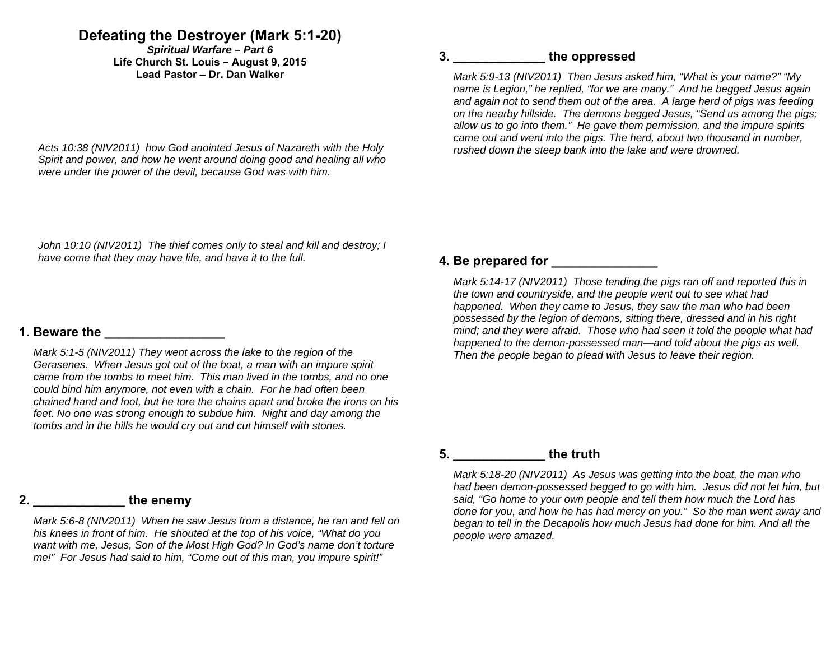# **Defeating the Destroyer (Mark 5:1-20)**

*Spiritual Warfare – Part 6*  **Life Church St. Louis** *–* **August 9, 2015 Lead Pastor – Dr. Dan Walker** 

*Acts 10:38 (NIV2011) how God anointed Jesus of Nazareth with the Holy Spirit and power, and how he went around doing good and healing all who were under the power of the devil, because God was with him.* 

## **3. \_\_\_\_\_\_\_\_\_\_\_\_\_ the oppressed**

*Mark 5:9-13 (NIV2011) Then Jesus asked him, "What is your name?" "My name is Legion," he replied, "for we are many." And he begged Jesus again and again not to send them out of the area. A large herd of pigs was feeding on the nearby hillside. The demons begged Jesus, "Send us among the pigs; allow us to go into them." He gave them permission, and the impure spirits came out and went into the pigs. The herd, about two thousand in number, rushed down the steep bank into the lake and were drowned.* 

*John 10:10 (NIV2011) The thief comes only to steal and kill and destroy; I have come that they may have life, and have it to the full.* 

#### **1. Beware the**

*Mark 5:1-5 (NIV2011) They went across the lake to the region of the Gerasenes. When Jesus got out of the boat, a man with an impure spirit came from the tombs to meet him. This man lived in the tombs, and no one could bind him anymore, not even with a chain. For he had often been chained hand and foot, but he tore the chains apart and broke the irons on his feet. No one was strong enough to subdue him. Night and day among the tombs and in the hills he would cry out and cut himself with stones.* 

#### **2. \_\_\_\_\_\_\_\_\_\_\_\_\_ the enemy**

*Mark 5:6-8 (NIV2011) When he saw Jesus from a distance, he ran and fell on his knees in front of him. He shouted at the top of his voice, "What do you want with me, Jesus, Son of the Most High God? In God's name don't torture me!" For Jesus had said to him, "Come out of this man, you impure spirit!"* 

### **4. Be prepared for \_\_\_\_\_\_\_\_\_\_\_\_\_\_\_**

*Mark 5:14-17 (NIV2011) Those tending the pigs ran off and reported this in the town and countryside, and the people went out to see what had happened. When they came to Jesus, they saw the man who had been possessed by the legion of demons, sitting there, dressed and in his right mind; and they were afraid. Those who had seen it told the people what had happened to the demon-possessed man—and told about the pigs as well. Then the people began to plead with Jesus to leave their region.* 

## **5. \_\_\_\_\_\_\_\_\_\_\_\_\_ the truth**

*Mark 5:18-20 (NIV2011) As Jesus was getting into the boat, the man who had been demon-possessed begged to go with him. Jesus did not let him, but said, "Go home to your own people and tell them how much the Lord has done for you, and how he has had mercy on you." So the man went away and began to tell in the Decapolis how much Jesus had done for him. And all the people were amazed.*